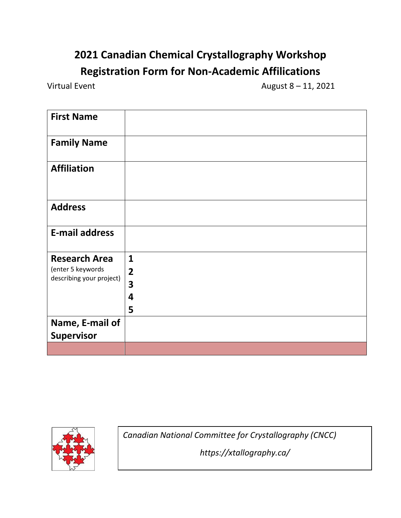## **2021 Canadian Chemical Crystallography Workshop Registration Form for Non-Academic Affilications**

Virtual Event  $\mu$  and  $\mu$  and  $\mu$  and  $\mu$  and  $\mu$  and  $\mu$  and  $\mu$  and  $\mu$  and  $\mu$  and  $\mu$  and  $\mu$  and  $\mu$  and  $\mu$  and  $\mu$  and  $\mu$  and  $\mu$  and  $\mu$  and  $\mu$  and  $\mu$  and  $\mu$  and  $\mu$  and  $\mu$  and  $\mu$  and

| <b>First Name</b>                             |                         |
|-----------------------------------------------|-------------------------|
| <b>Family Name</b>                            |                         |
| <b>Affiliation</b>                            |                         |
| <b>Address</b>                                |                         |
| <b>E-mail address</b>                         |                         |
| <b>Research Area</b>                          | $\mathbf{1}$            |
| (enter 5 keywords<br>describing your project) | $\overline{2}$          |
|                                               | $\overline{\mathbf{3}}$ |
|                                               | 4                       |
|                                               | 5                       |
| Name, E-mail of                               |                         |
| <b>Supervisor</b>                             |                         |
|                                               |                         |



*Canadian National Committee for Crystallography (CNCC)*

*https://xtallography.ca/*